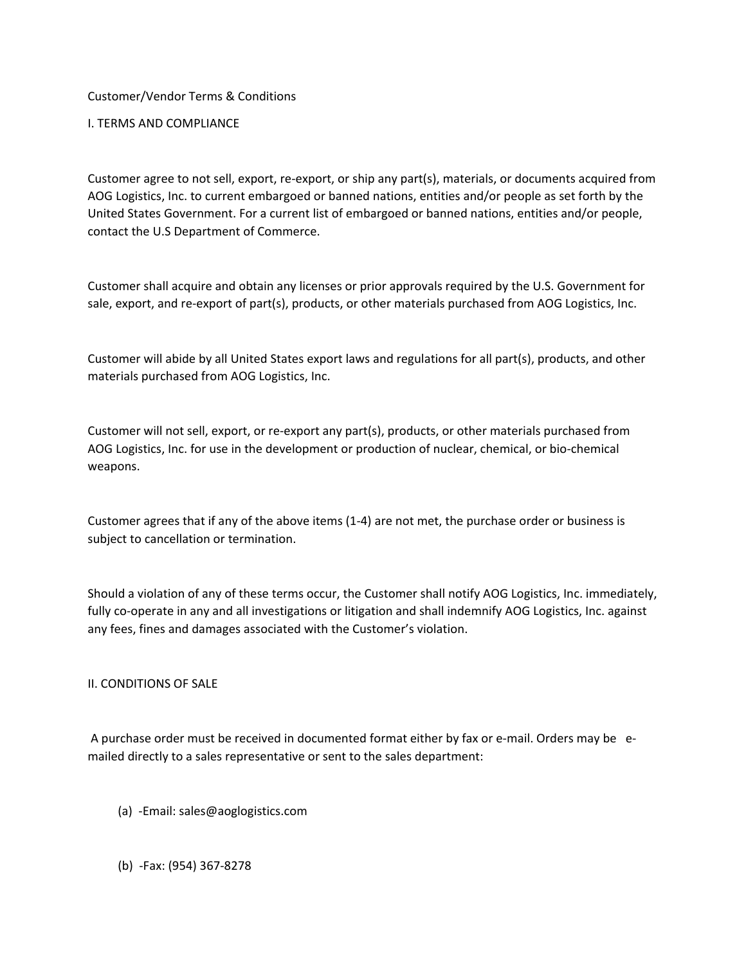Customer/Vendor Terms & Conditions

I. TERMS AND COMPLIANCE

Customer agree to not sell, export, re-export, or ship any part(s), materials, or documents acquired from AOG Logistics, Inc. to current embargoed or banned nations, entities and/or people as set forth by the United States Government. For a current list of embargoed or banned nations, entities and/or people, contact the U.S Department of Commerce.

Customer shall acquire and obtain any licenses or prior approvals required by the U.S. Government for sale, export, and re-export of part(s), products, or other materials purchased from AOG Logistics, Inc.

Customer will abide by all United States export laws and regulations for all part(s), products, and other materials purchased from AOG Logistics, Inc.

Customer will not sell, export, or re-export any part(s), products, or other materials purchased from AOG Logistics, Inc. for use in the development or production of nuclear, chemical, or bio-chemical weapons.

Customer agrees that if any of the above items (1-4) are not met, the purchase order or business is subject to cancellation or termination.

Should a violation of any of these terms occur, the Customer shall notify AOG Logistics, Inc. immediately, fully co-operate in any and all investigations or litigation and shall indemnify AOG Logistics, Inc. against any fees, fines and damages associated with the Customer's violation.

II. CONDITIONS OF SALE

A purchase order must be received in documented format either by fax or e-mail. Orders may be emailed directly to a sales representative or sent to the sales department:

- (a) -Email: sales@aoglogistics.com
- (b) -Fax: (954) 367-8278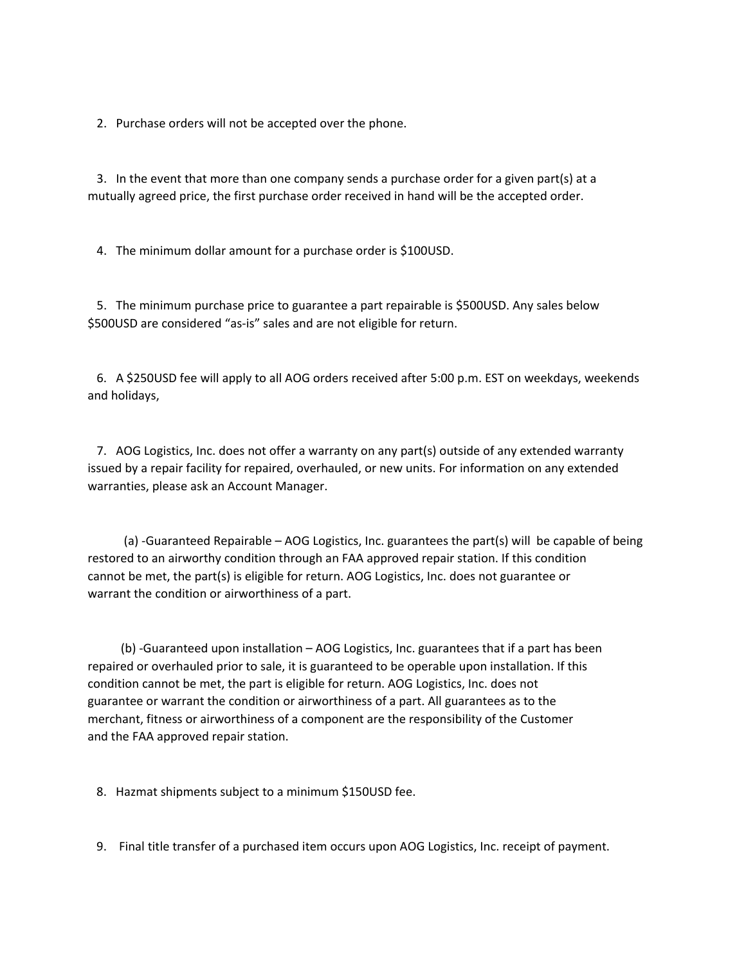2. Purchase orders will not be accepted over the phone.

 3. In the event that more than one company sends a purchase order for a given part(s) at a mutually agreed price, the first purchase order received in hand will be the accepted order.

4. The minimum dollar amount for a purchase order is \$100USD.

 5. The minimum purchase price to guarantee a part repairable is \$500USD. Any sales below \$500USD are considered "as-is" sales and are not eligible for return.

 6. A \$250USD fee will apply to all AOG orders received after 5:00 p.m. EST on weekdays, weekends and holidays,

 7. AOG Logistics, Inc. does not offer a warranty on any part(s) outside of any extended warranty issued by a repair facility for repaired, overhauled, or new units. For information on any extended warranties, please ask an Account Manager.

 (a) -Guaranteed Repairable – AOG Logistics, Inc. guarantees the part(s) will be capable of being restored to an airworthy condition through an FAA approved repair station. If this condition cannot be met, the part(s) is eligible for return. AOG Logistics, Inc. does not guarantee or warrant the condition or airworthiness of a part.

 (b) -Guaranteed upon installation – AOG Logistics, Inc. guarantees that if a part has been repaired or overhauled prior to sale, it is guaranteed to be operable upon installation. If this condition cannot be met, the part is eligible for return. AOG Logistics, Inc. does not guarantee or warrant the condition or airworthiness of a part. All guarantees as to the merchant, fitness or airworthiness of a component are the responsibility of the Customer and the FAA approved repair station.

8. Hazmat shipments subject to a minimum \$150USD fee.

9. Final title transfer of a purchased item occurs upon AOG Logistics, Inc. receipt of payment.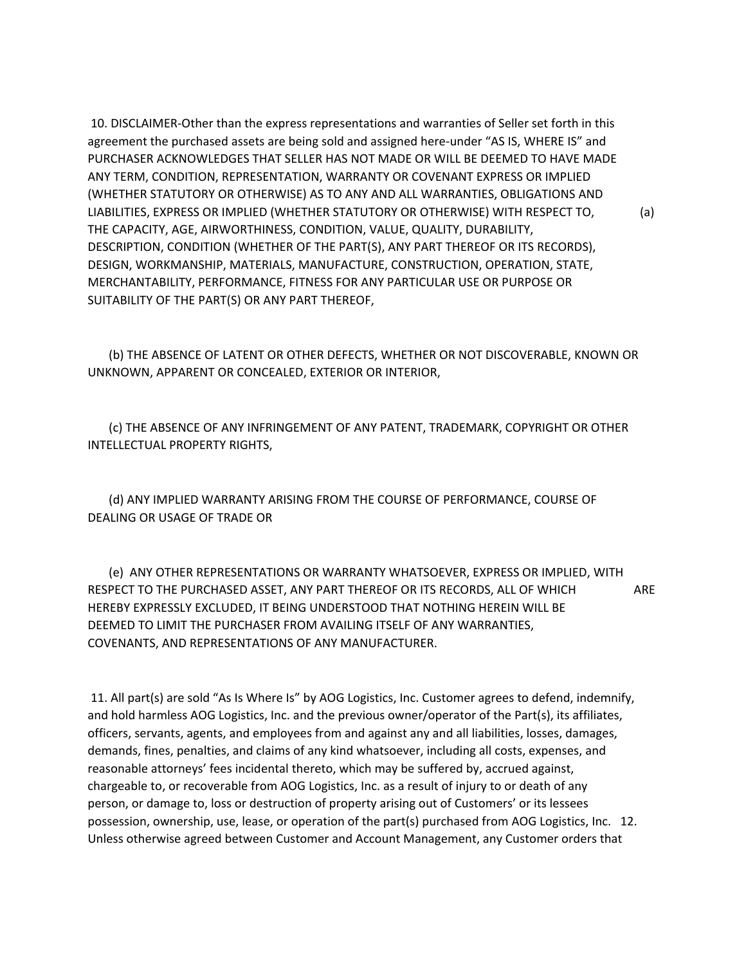10. DISCLAIMER-Other than the express representations and warranties of Seller set forth in this agreement the purchased assets are being sold and assigned here-under "AS IS, WHERE IS" and PURCHASER ACKNOWLEDGES THAT SELLER HAS NOT MADE OR WILL BE DEEMED TO HAVE MADE ANY TERM, CONDITION, REPRESENTATION, WARRANTY OR COVENANT EXPRESS OR IMPLIED (WHETHER STATUTORY OR OTHERWISE) AS TO ANY AND ALL WARRANTIES, OBLIGATIONS AND LIABILITIES, EXPRESS OR IMPLIED (WHETHER STATUTORY OR OTHERWISE) WITH RESPECT TO, (a) THE CAPACITY, AGE, AIRWORTHINESS, CONDITION, VALUE, QUALITY, DURABILITY, DESCRIPTION, CONDITION (WHETHER OF THE PART(S), ANY PART THEREOF OR ITS RECORDS), DESIGN, WORKMANSHIP, MATERIALS, MANUFACTURE, CONSTRUCTION, OPERATION, STATE, MERCHANTABILITY, PERFORMANCE, FITNESS FOR ANY PARTICULAR USE OR PURPOSE OR SUITABILITY OF THE PART(S) OR ANY PART THEREOF,

 (b) THE ABSENCE OF LATENT OR OTHER DEFECTS, WHETHER OR NOT DISCOVERABLE, KNOWN OR UNKNOWN, APPARENT OR CONCEALED, EXTERIOR OR INTERIOR,

 (c) THE ABSENCE OF ANY INFRINGEMENT OF ANY PATENT, TRADEMARK, COPYRIGHT OR OTHER INTELLECTUAL PROPERTY RIGHTS,

 (d) ANY IMPLIED WARRANTY ARISING FROM THE COURSE OF PERFORMANCE, COURSE OF DEALING OR USAGE OF TRADE OR

 (e) ANY OTHER REPRESENTATIONS OR WARRANTY WHATSOEVER, EXPRESS OR IMPLIED, WITH RESPECT TO THE PURCHASED ASSET, ANY PART THEREOF OR ITS RECORDS, ALL OF WHICH ARE HEREBY EXPRESSLY EXCLUDED, IT BEING UNDERSTOOD THAT NOTHING HEREIN WILL BE DEEMED TO LIMIT THE PURCHASER FROM AVAILING ITSELF OF ANY WARRANTIES, COVENANTS, AND REPRESENTATIONS OF ANY MANUFACTURER.

11. All part(s) are sold "As Is Where Is" by AOG Logistics, Inc. Customer agrees to defend, indemnify, and hold harmless AOG Logistics, Inc. and the previous owner/operator of the Part(s), its affiliates, officers, servants, agents, and employees from and against any and all liabilities, losses, damages, demands, fines, penalties, and claims of any kind whatsoever, including all costs, expenses, and reasonable attorneys' fees incidental thereto, which may be suffered by, accrued against, chargeable to, or recoverable from AOG Logistics, Inc. as a result of injury to or death of any person, or damage to, loss or destruction of property arising out of Customers' or its lessees possession, ownership, use, lease, or operation of the part(s) purchased from AOG Logistics, Inc. 12. Unless otherwise agreed between Customer and Account Management, any Customer orders that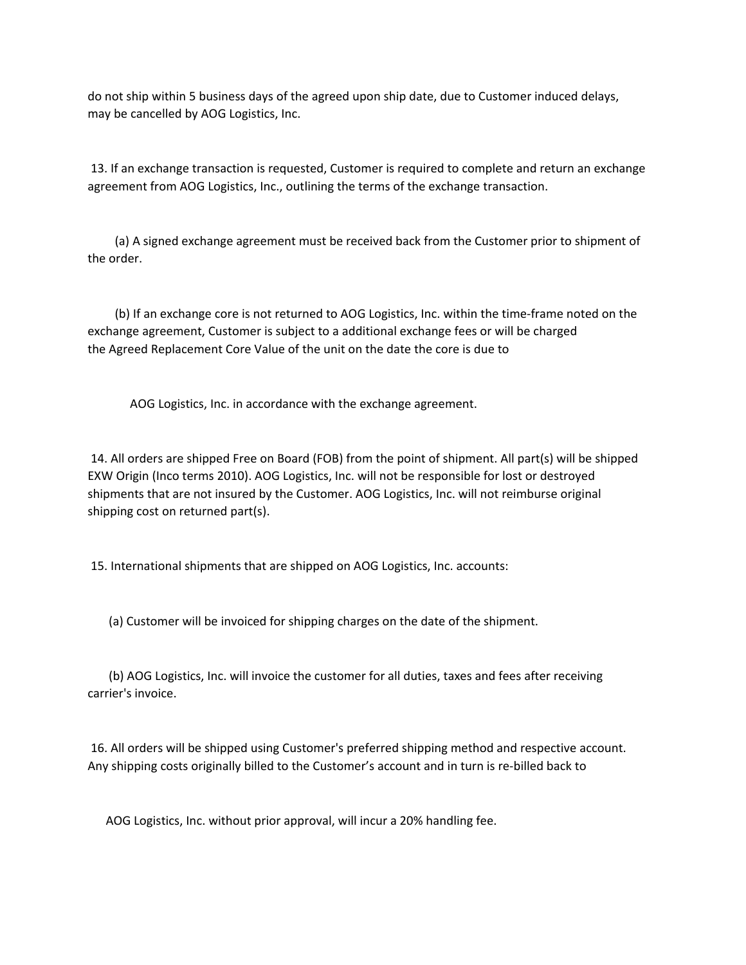do not ship within 5 business days of the agreed upon ship date, due to Customer induced delays, may be cancelled by AOG Logistics, Inc.

13. If an exchange transaction is requested, Customer is required to complete and return an exchange agreement from AOG Logistics, Inc., outlining the terms of the exchange transaction.

 (a) A signed exchange agreement must be received back from the Customer prior to shipment of the order.

 (b) If an exchange core is not returned to AOG Logistics, Inc. within the time-frame noted on the exchange agreement, Customer is subject to a additional exchange fees or will be charged the Agreed Replacement Core Value of the unit on the date the core is due to

AOG Logistics, Inc. in accordance with the exchange agreement.

14. All orders are shipped Free on Board (FOB) from the point of shipment. All part(s) will be shipped EXW Origin (Inco terms 2010). AOG Logistics, Inc. will not be responsible for lost or destroyed shipments that are not insured by the Customer. AOG Logistics, Inc. will not reimburse original shipping cost on returned part(s).

15. International shipments that are shipped on AOG Logistics, Inc. accounts:

(a) Customer will be invoiced for shipping charges on the date of the shipment.

 (b) AOG Logistics, Inc. will invoice the customer for all duties, taxes and fees after receiving carrier's invoice.

16. All orders will be shipped using Customer's preferred shipping method and respective account. Any shipping costs originally billed to the Customer's account and in turn is re-billed back to

AOG Logistics, Inc. without prior approval, will incur a 20% handling fee.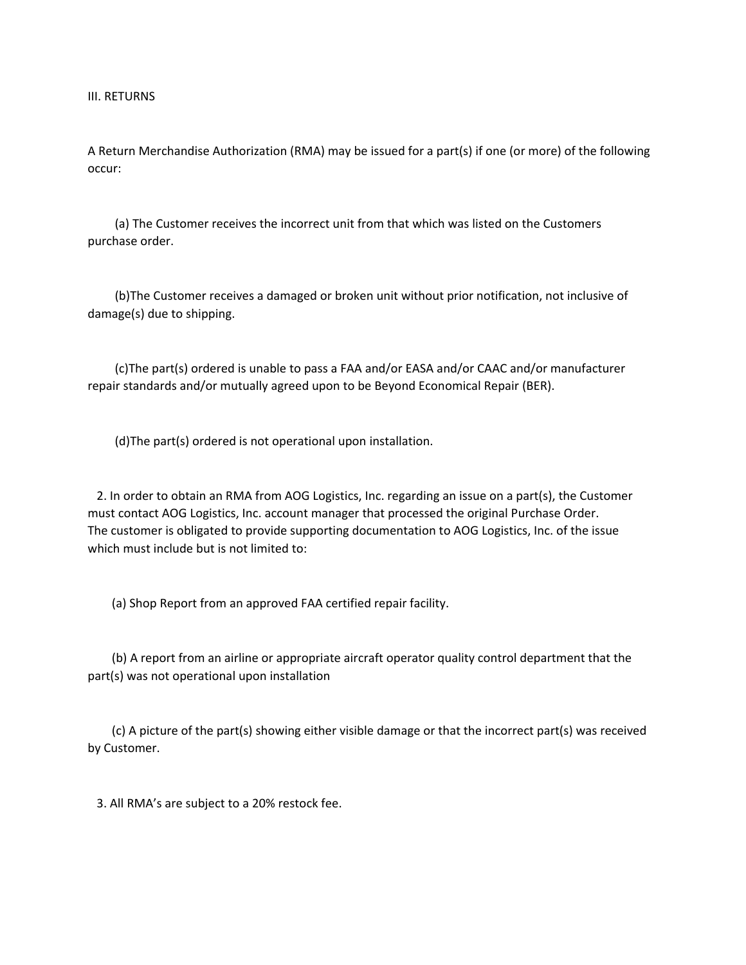III. RETURNS

A Return Merchandise Authorization (RMA) may be issued for a part(s) if one (or more) of the following occur:

 (a) The Customer receives the incorrect unit from that which was listed on the Customers purchase order.

 (b)The Customer receives a damaged or broken unit without prior notification, not inclusive of damage(s) due to shipping.

 (c)The part(s) ordered is unable to pass a FAA and/or EASA and/or CAAC and/or manufacturer repair standards and/or mutually agreed upon to be Beyond Economical Repair (BER).

(d)The part(s) ordered is not operational upon installation.

 2. In order to obtain an RMA from AOG Logistics, Inc. regarding an issue on a part(s), the Customer must contact AOG Logistics, Inc. account manager that processed the original Purchase Order. The customer is obligated to provide supporting documentation to AOG Logistics, Inc. of the issue which must include but is not limited to:

(a) Shop Report from an approved FAA certified repair facility.

 (b) A report from an airline or appropriate aircraft operator quality control department that the part(s) was not operational upon installation

 (c) A picture of the part(s) showing either visible damage or that the incorrect part(s) was received by Customer.

3. All RMA's are subject to a 20% restock fee.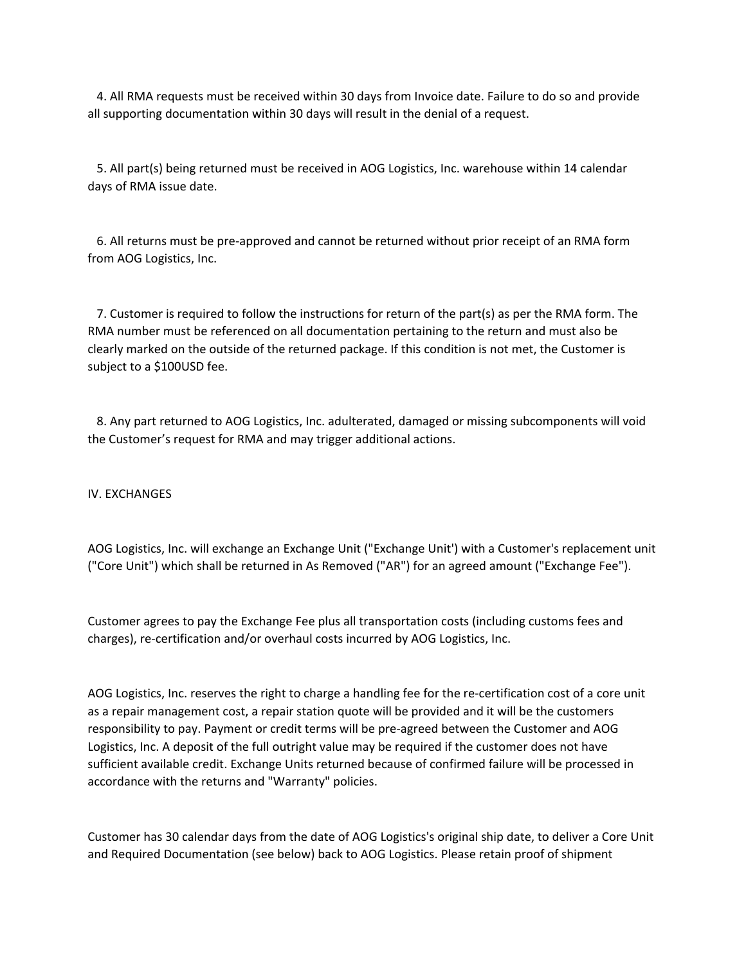4. All RMA requests must be received within 30 days from Invoice date. Failure to do so and provide all supporting documentation within 30 days will result in the denial of a request.

 5. All part(s) being returned must be received in AOG Logistics, Inc. warehouse within 14 calendar days of RMA issue date.

 6. All returns must be pre-approved and cannot be returned without prior receipt of an RMA form from AOG Logistics, Inc.

 7. Customer is required to follow the instructions for return of the part(s) as per the RMA form. The RMA number must be referenced on all documentation pertaining to the return and must also be clearly marked on the outside of the returned package. If this condition is not met, the Customer is subject to a \$100USD fee.

 8. Any part returned to AOG Logistics, Inc. adulterated, damaged or missing subcomponents will void the Customer's request for RMA and may trigger additional actions.

IV. EXCHANGES

AOG Logistics, Inc. will exchange an Exchange Unit ("Exchange Unit') with a Customer's replacement unit ("Core Unit") which shall be returned in As Removed ("AR") for an agreed amount ("Exchange Fee").

Customer agrees to pay the Exchange Fee plus all transportation costs (including customs fees and charges), re-certification and/or overhaul costs incurred by AOG Logistics, Inc.

AOG Logistics, Inc. reserves the right to charge a handling fee for the re-certification cost of a core unit as a repair management cost, a repair station quote will be provided and it will be the customers responsibility to pay. Payment or credit terms will be pre-agreed between the Customer and AOG Logistics, Inc. A deposit of the full outright value may be required if the customer does not have sufficient available credit. Exchange Units returned because of confirmed failure will be processed in accordance with the returns and "Warranty" policies.

Customer has 30 calendar days from the date of AOG Logistics's original ship date, to deliver a Core Unit and Required Documentation (see below) back to AOG Logistics. Please retain proof of shipment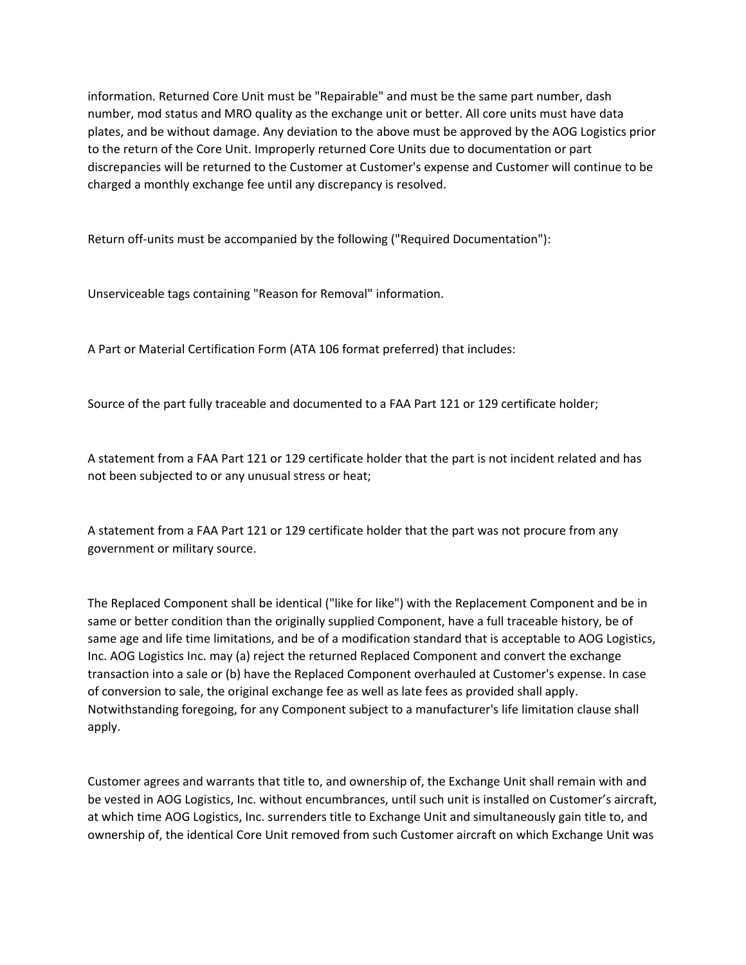information. Returned Core Unit must be "Repairable" and must be the same part number, dash number, mod status and MRO quality as the exchange unit or better. All core units must have data plates, and be without damage. Any deviation to the above must be approved by the AOG Logistics prior to the return of the Core Unit. Improperly returned Core Units due to documentation or part discrepancies will be returned to the Customer at Customer's expense and Customer will continue to be charged a monthly exchange fee until any discrepancy is resolved.

Return off-units must be accompanied by the following ("Required Documentation"):

Unserviceable tags containing "Reason for Removal" information.

A Part or Material Certification Form (ATA 106 format preferred) that includes:

Source of the part fully traceable and documented to a FAA Part 121 or 129 certificate holder;

A statement from a FAA Part 121 or 129 certificate holder that the part is not incident related and has not been subjected to or any unusual stress or heat;

A statement from a FAA Part 121 or 129 certificate holder that the part was not procure from any government or military source.

The Replaced Component shall be identical ("like for like") with the Replacement Component and be in same or better condition than the originally supplied Component, have a full traceable history, be of same age and life time limitations, and be of a modification standard that is acceptable to AOG Logistics, Inc. AOG Logistics Inc. may (a) reject the returned Replaced Component and convert the exchange transaction into a sale or (b) have the Replaced Component overhauled at Customer's expense. In case of conversion to sale, the original exchange fee as well as late fees as provided shall apply. Notwithstanding foregoing, for any Component subject to a manufacturer's life limitation clause shall apply.

Customer agrees and warrants that title to, and ownership of, the Exchange Unit shall remain with and be vested in AOG Logistics, Inc. without encumbrances, until such unit is installed on Customer's aircraft, at which time AOG Logistics, Inc. surrenders title to Exchange Unit and simultaneously gain title to, and ownership of, the identical Core Unit removed from such Customer aircraft on which Exchange Unit was